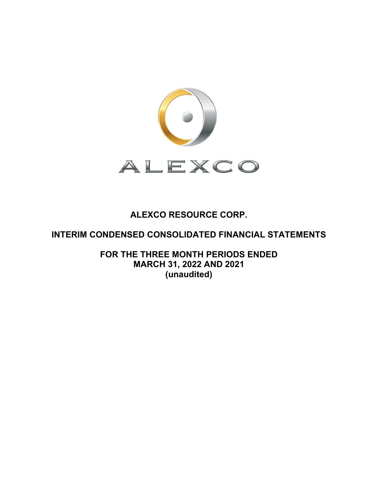

# **ALEXCO RESOURCE CORP.**

# **INTERIM CONDENSED CONSOLIDATED FINANCIAL STATEMENTS**

**FOR THE THREE MONTH PERIODS ENDED MARCH 31, 2022 AND 2021 (unaudited)**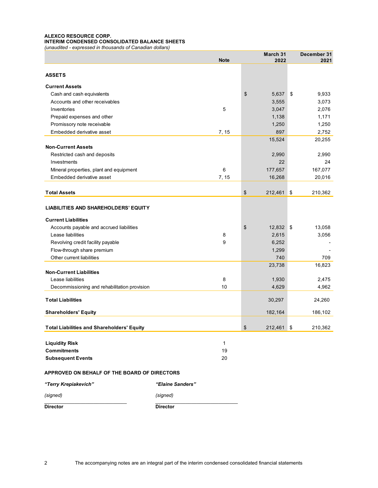### **ALEXCO RESOURCE CORP. INTERIM CONDENSED CONSOLIDATED BALANCE SHEETS**

*(unaudited - expressed in thousands of Canadian dollars)* 

|                                                   |                  | March 31         | December 31 |
|---------------------------------------------------|------------------|------------------|-------------|
|                                                   | <b>Note</b>      | 2022             | 2021        |
|                                                   |                  |                  |             |
| <b>ASSETS</b>                                     |                  |                  |             |
| <b>Current Assets</b>                             |                  |                  |             |
| Cash and cash equivalents                         |                  | \$<br>5,637      | 9,933<br>\$ |
| Accounts and other receivables                    |                  | 3,555            | 3,073       |
| Inventories                                       | 5                | 3,047            | 2,076       |
| Prepaid expenses and other                        |                  | 1,138            | 1,171       |
| Promissory note receivable                        |                  | 1,250            | 1,250       |
| Embedded derivative asset                         | 7, 15            | 897              | 2,752       |
|                                                   |                  | 15,524           | 20,255      |
| <b>Non-Current Assets</b>                         |                  |                  |             |
| Restricted cash and deposits                      |                  | 2,990            | 2,990       |
| Investments                                       |                  | 22               | 24          |
| Mineral properties, plant and equipment           | 6                | 177,657          | 167,077     |
| Embedded derivative asset                         | 7, 15            | 16,268           | 20,016      |
|                                                   |                  |                  |             |
| <b>Total Assets</b>                               |                  | \$<br>212,461 \$ | 210,362     |
|                                                   |                  |                  |             |
| <b>LIABILITIES AND SHAREHOLDERS' EQUITY</b>       |                  |                  |             |
| <b>Current Liabilities</b>                        |                  |                  |             |
| Accounts payable and accrued liabilities          |                  | \$<br>12,832 \$  | 13,058      |
| Lease liabilities                                 | 8                | 2,615            | 3,056       |
| Revolving credit facility payable                 | 9                | 6,252            |             |
| Flow-through share premium                        |                  | 1,299            |             |
| Other current liabilities                         |                  | 740              | 709         |
|                                                   |                  | 23,738           | 16,823      |
| <b>Non-Current Liabilities</b>                    |                  |                  |             |
| Lease liabilities                                 | 8                | 1,930            | 2,475       |
| Decommissioning and rehabilitation provision      | 10               | 4,629            | 4,962       |
| <b>Total Liabilities</b>                          |                  | 30,297           | 24,260      |
| <b>Shareholders' Equity</b>                       |                  | 182,164          | 186,102     |
|                                                   |                  |                  |             |
| <b>Total Liabilities and Shareholders' Equity</b> |                  | \$<br>212,461 \$ | 210,362     |
|                                                   |                  |                  |             |
| <b>Liquidity Risk</b>                             | 1                |                  |             |
| <b>Commitments</b>                                | 19               |                  |             |
| <b>Subsequent Events</b>                          | 20               |                  |             |
| APPROVED ON BEHALF OF THE BOARD OF DIRECTORS      |                  |                  |             |
| "Terry Krepiakevich"                              | "Elaine Sanders" |                  |             |
| (signed)                                          | (signed)         |                  |             |

**Director Director**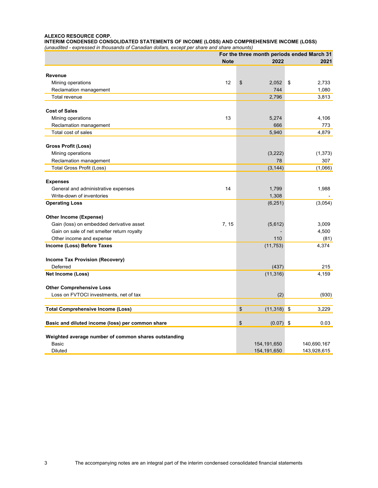#### **ALEXCO RESOURCE CORP.**

**INTERIM CONDENSED CONSOLIDATED STATEMENTS OF INCOME (LOSS) AND COMPREHENSIVE INCOME (LOSS)**  *(unaudited - expressed in thousands of Canadian dollars, except per share and share amounts)* 

|                                                      |             | For the three month periods ended March 31 |    |             |
|------------------------------------------------------|-------------|--------------------------------------------|----|-------------|
|                                                      | <b>Note</b> | 2022                                       |    | 2021        |
| Revenue                                              |             |                                            |    |             |
| Mining operations                                    | 12          | \$<br>2,052                                | \$ | 2,733       |
| Reclamation management                               |             | 744                                        |    | 1,080       |
| Total revenue                                        |             | 2,796                                      |    | 3,813       |
|                                                      |             |                                            |    |             |
| <b>Cost of Sales</b>                                 |             |                                            |    |             |
| Mining operations                                    | 13          | 5,274                                      |    | 4,106       |
| Reclamation management                               |             | 666                                        |    | 773         |
| Total cost of sales                                  |             | 5,940                                      |    | 4,879       |
| Gross Profit (Loss)                                  |             |                                            |    |             |
| Mining operations                                    |             | (3,222)                                    |    | (1, 373)    |
| Reclamation management                               |             | 78                                         |    | 307         |
| <b>Total Gross Profit (Loss)</b>                     |             | (3, 144)                                   |    | (1,066)     |
| <b>Expenses</b>                                      |             |                                            |    |             |
| General and administrative expenses                  | 14          | 1,799                                      |    | 1,988       |
| Write-down of inventories                            |             | 1,308                                      |    |             |
| <b>Operating Loss</b>                                |             | (6, 251)                                   |    | (3,054)     |
|                                                      |             |                                            |    |             |
| Other Income (Expense)                               |             |                                            |    |             |
| Gain (loss) on embedded derivative asset             | 7, 15       | (5,612)                                    |    | 3,009       |
| Gain on sale of net smelter return royalty           |             |                                            |    | 4,500       |
| Other income and expense                             |             | 110                                        |    | (81)        |
| Income (Loss) Before Taxes                           |             | (11, 753)                                  |    | 4,374       |
| <b>Income Tax Provision (Recovery)</b>               |             |                                            |    |             |
| Deferred                                             |             | (437)                                      |    | 215         |
| Net Income (Loss)                                    |             | (11, 316)                                  |    | 4,159       |
| <b>Other Comprehensive Loss</b>                      |             |                                            |    |             |
| Loss on FVTOCI investments, net of tax               |             | (2)                                        |    | (930)       |
| <b>Total Comprehensive Income (Loss)</b>             |             | \$<br>$(11,318)$ \$                        |    | 3,229       |
|                                                      |             |                                            |    |             |
| Basic and diluted income (loss) per common share     |             | \$<br>$(0.07)$ \$                          |    | 0.03        |
| Weighted average number of common shares outstanding |             |                                            |    |             |
| <b>Basic</b>                                         |             | 154, 191, 650                              |    | 140,690,167 |
| <b>Diluted</b>                                       |             | 154, 191, 650                              |    | 143,928,615 |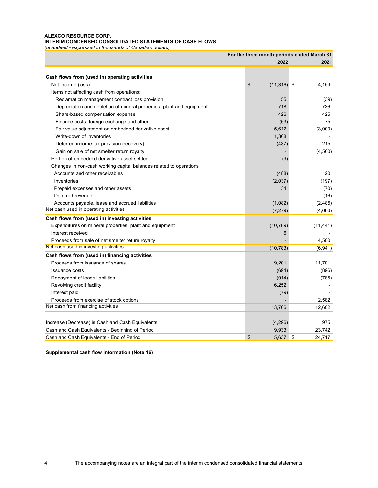## **ALEXCO RESOURCE CORP. INTERIM CONDENSED CONSOLIDATED STATEMENTS OF CASH FLOWS**

*(unaudited - expressed in thousands of Canadian dollars)* 

|                                                                       | For the three month periods ended March 31 |              |
|-----------------------------------------------------------------------|--------------------------------------------|--------------|
|                                                                       | 2022                                       | 2021         |
|                                                                       |                                            |              |
| Cash flows from (used in) operating activities                        | \$                                         |              |
| Net income (loss)                                                     | $(11, 316)$ \$                             | 4,159        |
| Items not affecting cash from operations:                             |                                            |              |
| Reclamation management contract loss provision                        | 55                                         | (39)         |
| Depreciation and depletion of mineral properties, plant and equipment | 718                                        | 736          |
| Share-based compensation expense                                      | 426                                        | 425          |
| Finance costs, foreign exchange and other                             | (63)                                       | 75           |
| Fair value adjustment on embedded derivative asset                    | 5,612                                      | (3,009)      |
| Write-down of inventories                                             | 1,308                                      |              |
| Deferred income tax provision (recovery)                              | (437)                                      | 215          |
| Gain on sale of net smelter return royalty                            |                                            | (4,500)      |
| Portion of embedded derivative asset settled                          | (9)                                        |              |
| Changes in non-cash working capital balances related to operations    |                                            |              |
| Accounts and other receivables                                        | (488)                                      | 20           |
| Inventories                                                           | (2,037)                                    | (197)        |
| Prepaid expenses and other assets                                     | 34                                         | (70)         |
| Deferred revenue                                                      |                                            | (16)         |
| Accounts payable, lease and accrued liabilities                       | (1,082)                                    | (2,485)      |
| Net cash used in operating activities                                 | (7, 279)                                   | (4,686)      |
| Cash flows from (used in) investing activities                        |                                            |              |
| Expenditures on mineral properties, plant and equipment               | (10, 789)                                  | (11, 441)    |
| Interest received                                                     | 6                                          |              |
| Proceeds from sale of net smelter return royalty                      |                                            | 4,500        |
| Net cash used in investing activities                                 | (10, 783)                                  | (6,941)      |
| Cash flows from (used in) financing activities                        |                                            |              |
| Proceeds from issuance of shares                                      | 9,201                                      | 11,701       |
| <b>Issuance costs</b>                                                 | (694)                                      | (896)        |
| Repayment of lease liabilities                                        | (914)                                      | (785)        |
| Revolving credit facility                                             | 6,252                                      |              |
| Interest paid                                                         | (79)                                       |              |
| Proceeds from exercise of stock options                               |                                            | 2,582        |
| Net cash from financing activities                                    | 13,766                                     | 12,602       |
|                                                                       |                                            |              |
| Increase (Decrease) in Cash and Cash Equivalents                      | (4,296)                                    | 975          |
| Cash and Cash Equivalents - Beginning of Period                       | 9,933                                      | 23,742       |
| Cash and Cash Equivalents - End of Period                             | \$<br>5,637                                | \$<br>24.717 |

**Supplemental cash flow information (Note 16)**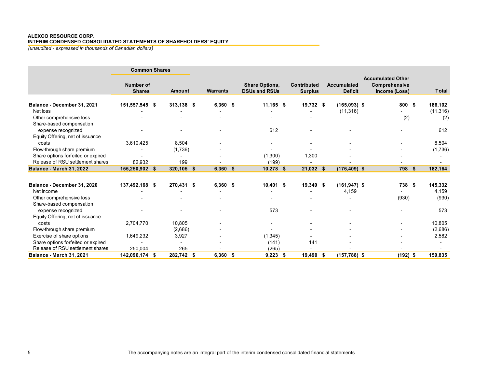## **ALEXCO RESOURCE CORP.**

**INTERIM CONDENSED CONSOLIDATED STATEMENTS OF SHAREHOLDERS' EQUITY**

*(unaudited - expressed in thousands of Canadian dollars)*

|                                    | <b>Common Shares</b>              |               |                 |                                               |                                      |                                      |                                                            |      |                |
|------------------------------------|-----------------------------------|---------------|-----------------|-----------------------------------------------|--------------------------------------|--------------------------------------|------------------------------------------------------------|------|----------------|
|                                    | <b>Number of</b><br><b>Shares</b> | <b>Amount</b> | <b>Warrants</b> | <b>Share Options,</b><br><b>DSUs and RSUs</b> | <b>Contributed</b><br><b>Surplus</b> | <b>Accumulated</b><br><b>Deficit</b> | <b>Accumulated Other</b><br>Comprehensive<br>Income (Loss) |      | <b>Total</b>   |
| Balance - December 31, 2021        | 151,557,545 \$                    | 313,138 \$    | $6,360$ \$      | $11,165$ \$                                   | 19,732 \$                            | $(165,093)$ \$                       | 800                                                        | - \$ | 186,102        |
| Net loss                           |                                   |               |                 |                                               |                                      | (11, 316)                            |                                                            |      | (11, 316)      |
| Other comprehensive loss           |                                   |               |                 |                                               |                                      |                                      | (2)                                                        |      | (2)            |
| Share-based compensation           |                                   |               |                 |                                               |                                      |                                      |                                                            |      |                |
| expense recognized                 |                                   |               |                 | 612                                           |                                      |                                      |                                                            |      | 612            |
| Equity Offering, net of issuance   |                                   |               |                 |                                               |                                      |                                      |                                                            |      |                |
| costs                              | 3,610,425                         | 8,504         |                 |                                               |                                      |                                      |                                                            |      | 8,504          |
| Flow-through share premium         |                                   | (1,736)       |                 |                                               |                                      |                                      |                                                            |      | (1,736)        |
| Share options forfeited or expired |                                   |               |                 | (1,300)                                       | 1,300                                |                                      |                                                            |      |                |
| Release of RSU settlement shares   | 82,932                            | 199           |                 | (199)                                         |                                      |                                      |                                                            |      |                |
| Balance - March 31, 2022           | 155,250,902 \$                    | 320,105 \$    | $6,360$ \$      | $10,278$ \$                                   | 21,032 \$                            | $(176, 409)$ \$                      | 798                                                        | - \$ | 182,164        |
| Balance - December 31, 2020        | 137,492,168 \$                    | 270,431 \$    | $6,360$ \$      | $10,401$ \$                                   | 19,349 \$                            | $(161, 947)$ \$                      | 738 \$                                                     |      | 145,332        |
| Net income                         |                                   |               |                 |                                               |                                      |                                      |                                                            |      |                |
| Other comprehensive loss           |                                   |               |                 |                                               |                                      | 4,159                                | (930)                                                      |      | 4,159<br>(930) |
| Share-based compensation           |                                   |               |                 |                                               |                                      |                                      |                                                            |      |                |
| expense recognized                 |                                   |               |                 | 573                                           |                                      |                                      |                                                            |      | 573            |
| Equity Offering, net of issuance   |                                   |               |                 |                                               |                                      |                                      |                                                            |      |                |
| costs                              | 2,704,770                         | 10,805        |                 |                                               |                                      |                                      |                                                            |      | 10,805         |
| Flow-through share premium         |                                   | (2,686)       |                 |                                               |                                      |                                      |                                                            |      | (2,686)        |
| Exercise of share options          | 1,649,232                         | 3,927         |                 | (1, 345)                                      |                                      |                                      |                                                            |      | 2,582          |
| Share options forfeited or expired |                                   | ٠             |                 | (141)                                         | 141                                  |                                      |                                                            |      |                |
| Release of RSU settlement shares   | 250,004                           | 265           |                 | (265)                                         |                                      |                                      |                                                            |      |                |
| <b>Balance - March 31, 2021</b>    | 142,096,174 \$                    | 282,742 \$    | $6,360$ \$      | $9,223$ \$                                    | 19,490 \$                            | $(157, 788)$ \$                      | $(192)$ \$                                                 |      | 159,835        |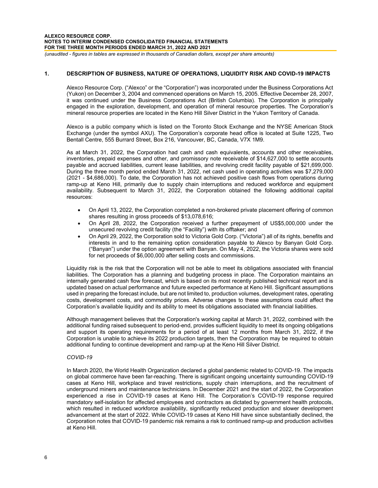# **1. DESCRIPTION OF BUSINESS, NATURE OF OPERATIONS, LIQUIDITY RISK AND COVID-19 IMPACTS**

Alexco Resource Corp. ("Alexco" or the "Corporation") was incorporated under the Business Corporations Act (Yukon) on December 3, 2004 and commenced operations on March 15, 2005. Effective December 28, 2007, it was continued under the Business Corporations Act (British Columbia). The Corporation is principally engaged in the exploration, development, and operation of mineral resource properties. The Corporation's mineral resource properties are located in the Keno Hill Silver District in the Yukon Territory of Canada.

Alexco is a public company which is listed on the Toronto Stock Exchange and the NYSE American Stock Exchange (under the symbol AXU). The Corporation's corporate head office is located at Suite 1225, Two Bentall Centre, 555 Burrard Street, Box 216, Vancouver, BC, Canada, V7X 1M9.

As at March 31, 2022, the Corporation had cash and cash equivalents, accounts and other receivables, inventories, prepaid expenses and other, and promissory note receivable of \$14,627,000 to settle accounts payable and accrued liabilities, current lease liabilities, and revolving credit facility payable of \$21,699,000. During the three month period ended March 31, 2022, net cash used in operating activities was \$7,279,000 (2021 - \$4,686,000). To date, the Corporation has not achieved positive cash flows from operations during ramp-up at Keno Hill, primarily due to supply chain interruptions and reduced workforce and equipment availability. Subsequent to March 31, 2022, the Corporation obtained the following additional capital resources:

- On April 13, 2022, the Corporation completed a non-brokered private placement offering of common shares resulting in gross proceeds of \$13,078,616;
- On April 28, 2022, the Corporation received a further prepayment of US\$5,000,000 under the unsecured revolving credit facility (the "Facility") with its offtaker; and
- On April 29, 2022, the Corporation sold to Victoria Gold Corp. ("Victoria") all of its rights, benefits and interests in and to the remaining option consideration payable to Alexco by Banyan Gold Corp. ("Banyan") under the option agreement with Banyan. On May 4, 2022, the Victoria shares were sold for net proceeds of \$6,000,000 after selling costs and commissions.

Liquidity risk is the risk that the Corporation will not be able to meet its obligations associated with financial liabilities. The Corporation has a planning and budgeting process in place. The Corporation maintains an internally generated cash flow forecast, which is based on its most recently published technical report and is updated based on actual performance and future expected performance at Keno Hill. Significant assumptions used in preparing the forecast include, but are not limited to, production volumes, development rates, operating costs, development costs, and commodity prices. Adverse changes to these assumptions could affect the Corporation's available liquidity and its ability to meet its obligations associated with financial liabilities.

Although management believes that the Corporation's working capital at March 31, 2022, combined with the additional funding raised subsequent to period-end, provides sufficient liquidity to meet its ongoing obligations and support its operating requirements for a period of at least 12 months from March 31, 2022, if the Corporation is unable to achieve its 2022 production targets, then the Corporation may be required to obtain additional funding to continue development and ramp-up at the Keno Hill Silver District.

# *COVID-19*

In March 2020, the World Health Organization declared a global pandemic related to COVID-19. The impacts on global commerce have been far-reaching. There is significant ongoing uncertainty surrounding COVID-19 cases at Keno Hill, workplace and travel restrictions, supply chain interruptions, and the recruitment of underground miners and maintenance technicians. In December 2021 and the start of 2022, the Corporation experienced a rise in COVID-19 cases at Keno Hill. The Corporation's COVID-19 response required mandatory self-isolation for affected employees and contractors as dictated by government health protocols, which resulted in reduced workforce availability, significantly reduced production and slower development advancement at the start of 2022. While COVID-19 cases at Keno Hill have since substantially declined, the Corporation notes that COVID-19 pandemic risk remains a risk to continued ramp-up and production activities at Keno Hill.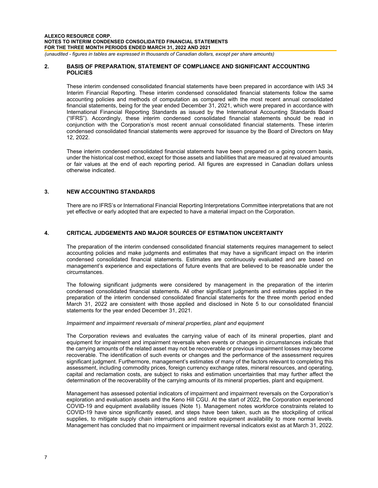## **2. BASIS OF PREPARATION, STATEMENT OF COMPLIANCE AND SIGNIFICANT ACCOUNTING POLICIES**

These interim condensed consolidated financial statements have been prepared in accordance with IAS 34 Interim Financial Reporting. These interim condensed consolidated financial statements follow the same accounting policies and methods of computation as compared with the most recent annual consolidated financial statements, being for the year ended December 31, 2021, which were prepared in accordance with International Financial Reporting Standards as issued by the International Accounting Standards Board ("IFRS"). Accordingly, these interim condensed consolidated financial statements should be read in conjunction with the Corporation's most recent annual consolidated financial statements. These interim condensed consolidated financial statements were approved for issuance by the Board of Directors on May 12, 2022.

These interim condensed consolidated financial statements have been prepared on a going concern basis, under the historical cost method, except for those assets and liabilities that are measured at revalued amounts or fair values at the end of each reporting period. All figures are expressed in Canadian dollars unless otherwise indicated.

# **3. NEW ACCOUNTING STANDARDS**

There are no IFRS's or International Financial Reporting Interpretations Committee interpretations that are not yet effective or early adopted that are expected to have a material impact on the Corporation.

# **4. CRITICAL JUDGEMENTS AND MAJOR SOURCES OF ESTIMATION UNCERTAINTY**

The preparation of the interim condensed consolidated financial statements requires management to select accounting policies and make judgments and estimates that may have a significant impact on the interim condensed consolidated financial statements. Estimates are continuously evaluated and are based on management's experience and expectations of future events that are believed to be reasonable under the circumstances.

The following significant judgments were considered by management in the preparation of the interim condensed consolidated financial statements. All other significant judgments and estimates applied in the preparation of the interim condensed consolidated financial statements for the three month period ended March 31, 2022 are consistent with those applied and disclosed in Note 5 to our consolidated financial statements for the year ended December 31, 2021.

## *Impairment and impairment reversals of mineral properties, plant and equipment*

The Corporation reviews and evaluates the carrying value of each of its mineral properties, plant and equipment for impairment and impairment reversals when events or changes in circumstances indicate that the carrying amounts of the related asset may not be recoverable or previous impairment losses may become recoverable. The identification of such events or changes and the performance of the assessment requires significant judgment. Furthermore, management's estimates of many of the factors relevant to completing this assessment, including commodity prices, foreign currency exchange rates, mineral resources, and operating, capital and reclamation costs, are subject to risks and estimation uncertainties that may further affect the determination of the recoverability of the carrying amounts of its mineral properties, plant and equipment.

Management has assessed potential indicators of impairment and impairment reversals on the Corporation's exploration and evaluation assets and the Keno Hill CGU. At the start of 2022, the Corporation experienced COVID-19 and equipment availability issues (Note 1). Management notes workforce constraints related to COVID-19 have since significantly eased, and steps have been taken, such as the stockpiling of critical supplies, to mitigate supply chain interruptions and restore equipment availability to more normal levels. Management has concluded that no impairment or impairment reversal indicators exist as at March 31, 2022.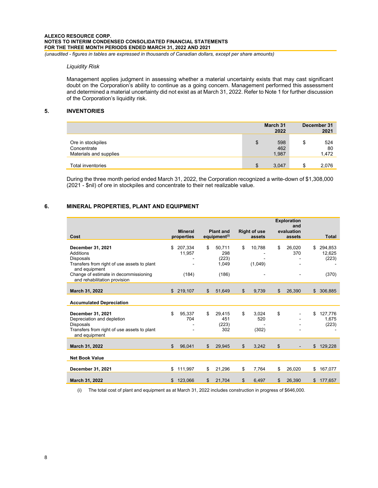### *Liquidity Risk*

Management applies judgment in assessing whether a material uncertainty exists that may cast significant doubt on the Corporation's ability to continue as a going concern. Management performed this assessment and determined a material uncertainty did not exist as at March 31, 2022. Refer to Note 1 for further discussion of the Corporation's liquidity risk.

# **5. INVENTORIES**

|                                                            | March 31<br>2022          | December 31<br>2021      |
|------------------------------------------------------------|---------------------------|--------------------------|
| Ore in stockpiles<br>Concentrate<br>Materials and supplies | \$<br>598<br>462<br>1,987 | \$<br>524<br>80<br>1,472 |
| <b>Total inventories</b>                                   | \$<br>3,047               | \$<br>2,076              |

During the three month period ended March 31, 2022, the Corporation recognized a write-down of \$1,308,000 (2021 - \$nil) of ore in stockpiles and concentrate to their net realizable value.

# **6. MINERAL PROPERTIES, PLANT AND EQUIPMENT**

|                                                                                                                              |                              |                |                                              |               |                               | <b>Exploration</b><br>and |                                  |
|------------------------------------------------------------------------------------------------------------------------------|------------------------------|----------------|----------------------------------------------|---------------|-------------------------------|---------------------------|----------------------------------|
| Cost                                                                                                                         | <b>Mineral</b><br>properties |                | <b>Plant and</b><br>equipment <sup>(i)</sup> |               | <b>Right of use</b><br>assets | evaluation<br>assets      | <b>Total</b>                     |
| December 31, 2021<br>Additions<br><b>Disposals</b><br>Transfers from right of use assets to plant<br>and equipment           | \$<br>207,334<br>11,957      | \$             | 50,711<br>298<br>(223)<br>1,049              | \$            | 10,788<br>(1,049)             | \$<br>26,020<br>370       | \$<br>294,853<br>12,625<br>(223) |
| Change of estimate in decommissioning<br>and rehabilitation provision                                                        |                              | (184)          | (186)                                        |               |                               |                           | (370)                            |
| March 31, 2022                                                                                                               | \$219,107                    | $\mathfrak{S}$ | 51,649                                       | \$            | 9,739                         | \$<br>26,390              | \$ 306,885                       |
| <b>Accumulated Depreciation</b>                                                                                              |                              |                |                                              |               |                               |                           |                                  |
| December 31, 2021<br>Depreciation and depletion<br>Disposals<br>Transfers from right of use assets to plant<br>and equipment | \$.<br>95.337                | \$<br>704      | 29.415<br>451<br>(223)<br>302                | \$            | 3.024<br>520<br>(302)         | \$                        | \$<br>127.776<br>1,675<br>(223)  |
| March 31, 2022                                                                                                               | 96,041<br>$\mathbb{S}$       | $\mathfrak{L}$ | 29,945                                       | $\frac{1}{2}$ | 3,242                         | \$                        | \$<br>129,228                    |
| <b>Net Book Value</b>                                                                                                        |                              |                |                                              |               |                               |                           |                                  |
| December 31, 2021                                                                                                            | 111,997<br>\$                | \$             | 21,296                                       | \$            | 7,764                         | \$<br>26,020              | \$<br>167,077                    |
| March 31, 2022                                                                                                               | 123.066<br>\$                | \$             | 21.704                                       | \$            | 6.497                         | \$<br>26.390              | \$<br>177,657                    |

(i) The total cost of plant and equipment as at March 31, 2022 includes construction in progress of \$646,000.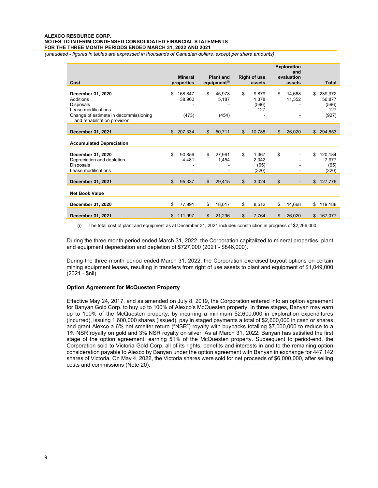## **ALEXCO RESOURCE CORP. NOTES TO INTERIM CONDENSED CONSOLIDATED FINANCIAL STATEMENTS FOR THE THREE MONTH PERIODS ENDED MARCH 31, 2022 AND 2021**

*(unaudited - figures in tables are expressed in thousands of Canadian dollars, except per share amounts)*

| Cost                                                                                                                                               |                | <b>Mineral</b><br>properties |                | <b>Plant and</b><br>equipment <sup>(i)</sup> | <b>Right of use</b><br>assets         | <b>Exploration</b><br>and<br>evaluation<br>assets | <b>Total</b>                                     |
|----------------------------------------------------------------------------------------------------------------------------------------------------|----------------|------------------------------|----------------|----------------------------------------------|---------------------------------------|---------------------------------------------------|--------------------------------------------------|
| December 31, 2020<br>Additions<br><b>Disposals</b><br>Lease modifications<br>Change of estimate in decommissioning<br>and rehabilitation provision | \$             | 168,847<br>38,960<br>(473)   | \$             | 45,978<br>5,187<br>(454)                     | \$<br>9,879<br>1,378<br>(596)<br>127  | \$<br>14,668<br>11,352                            | \$<br>239,372<br>56.877<br>(596)<br>127<br>(927) |
| December 31, 2021                                                                                                                                  |                | \$207,334                    | $\mathfrak{L}$ | 50,711                                       | \$<br>10,788                          | \$<br>26,020                                      | \$<br>294,853                                    |
| <b>Accumulated Depreciation</b>                                                                                                                    |                |                              |                |                                              |                                       |                                                   |                                                  |
| December 31, 2020<br>Depreciation and depletion<br>Disposals<br>Lease modifications                                                                | \$             | 90,856<br>4,481              | \$             | 27,961<br>1,454                              | \$<br>1,367<br>2,042<br>(65)<br>(320) | \$                                                | \$<br>120,184<br>7,977<br>(65)<br>(320)          |
| December 31, 2021                                                                                                                                  | $\mathfrak{S}$ | 95,337                       | \$             | 29,415                                       | \$<br>3,024                           | \$                                                | \$127,776                                        |
| <b>Net Book Value</b>                                                                                                                              |                |                              |                |                                              |                                       |                                                   |                                                  |
| December 31, 2020                                                                                                                                  | \$             | 77,991                       | \$             | 18,017                                       | \$<br>8,512                           | \$<br>14,668                                      | \$<br>119,188                                    |
| December 31, 2021                                                                                                                                  | \$             | 111,997                      | \$             | 21,296                                       | \$<br>7,764                           | \$<br>26,020                                      | \$<br>167,077                                    |

(i) The total cost of plant and equipment as at December 31, 2021 includes construction in progress of \$2,266,000.

During the three month period ended March 31, 2022, the Corporation capitalized to mineral properties, plant and equipment depreciation and depletion of \$727,000 (2021 - \$846,000).

During the three month period ended March 31, 2022, the Corporation exercised buyout options on certain mining equipment leases, resulting in transfers from right of use assets to plant and equipment of \$1,049,000 (2021 - \$nil).

## **Option Agreement for McQuesten Property**

Effective May 24, 2017, and as amended on July 8, 2019, the Corporation entered into an option agreement for Banyan Gold Corp. to buy up to 100% of Alexco's McQuesten property. In three stages, Banyan may earn up to 100% of the McQuesten property, by incurring a minimum \$2,600,000 in exploration expenditures (incurred), issuing 1,600,000 shares (issued), pay in staged payments a total of \$2,600,000 in cash or shares and grant Alexco a 6% net smelter return ("NSR") royalty with buybacks totalling \$7,000,000 to reduce to a 1% NSR royalty on gold and 3% NSR royalty on silver. As at March 31, 2022, Banyan has satisfied the first stage of the option agreement, earning 51% of the McQuesten property. Subsequent to period-end, the Corporation sold to Victoria Gold Corp. all of its rights, benefits and interests in and to the remaining option consideration payable to Alexco by Banyan under the option agreement with Banyan in exchange for 447,142 shares of Victoria. On May 4, 2022, the Victoria shares were sold for net proceeds of \$6,000,000, after selling costs and commissions (Note 20).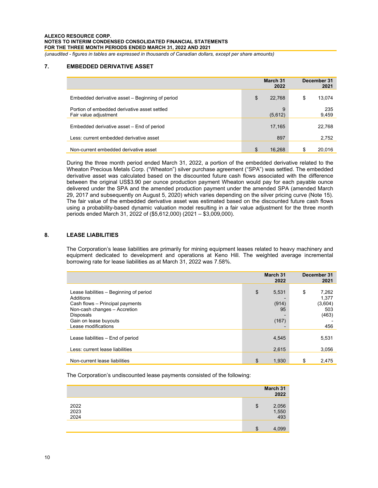# **7. EMBEDDED DERIVATIVE ASSET**

|                                                                       | March 31<br>2022 | December 31<br>2021 |
|-----------------------------------------------------------------------|------------------|---------------------|
| Embedded derivative asset – Beginning of period                       | \$<br>22,768     | \$<br>13,074        |
| Portion of embedded derivative asset settled<br>Fair value adjustment | 9<br>(5,612)     | 235<br>9,459        |
| Embedded derivative asset – End of period                             | 17,165           | 22,768              |
| Less: current embedded derivative asset                               | 897              | 2,752               |
| Non-current embedded derivative asset                                 | \$<br>16.268     | \$<br>20.016        |

During the three month period ended March 31, 2022, a portion of the embedded derivative related to the Wheaton Precious Metals Corp. ("Wheaton") silver purchase agreement ("SPA") was settled. The embedded derivative asset was calculated based on the discounted future cash flows associated with the difference between the original US\$3.90 per ounce production payment Wheaton would pay for each payable ounce delivered under the SPA and the amended production payment under the amended SPA (amended March 29, 2017 and subsequently on August 5, 2020) which varies depending on the silver pricing curve (Note 15). The fair value of the embedded derivative asset was estimated based on the discounted future cash flows using a probability-based dynamic valuation model resulting in a fair value adjustment for the three month periods ended March 31, 2022 of (\$5,612,000) (2021 – \$3,009,000).

# **8. LEASE LIABILITIES**

The Corporation's lease liabilities are primarily for mining equipment leases related to heavy machinery and equipment dedicated to development and operations at Keno Hill. The weighted average incremental borrowing rate for lease liabilities as at March 31, 2022 was 7.58%.

|                                                                                                                                                                                             | March 31<br>2022                    | December 31<br>2021                                    |
|---------------------------------------------------------------------------------------------------------------------------------------------------------------------------------------------|-------------------------------------|--------------------------------------------------------|
| Lease liabilities – Beginning of period<br>Additions<br>Cash flows - Principal payments<br>Non-cash changes - Accretion<br><b>Disposals</b><br>Gain on lease buyouts<br>Lease modifications | \$<br>5,531<br>(914)<br>95<br>(167) | \$<br>7,262<br>1,377<br>(3,604)<br>503<br>(463)<br>456 |
| Lease liabilities - End of period<br>Less: current lease liabilities                                                                                                                        | 4,545<br>2,615                      | 5,531<br>3,056                                         |
| Non-current lease liabilities                                                                                                                                                               | \$<br>1,930                         | \$<br>2.475                                            |

The Corporation's undiscounted lease payments consisted of the following:

|                      | March 31<br>2022            |
|----------------------|-----------------------------|
| 2022<br>2023<br>2024 | \$<br>2,056<br>1,550<br>493 |
|                      | \$<br>4,099                 |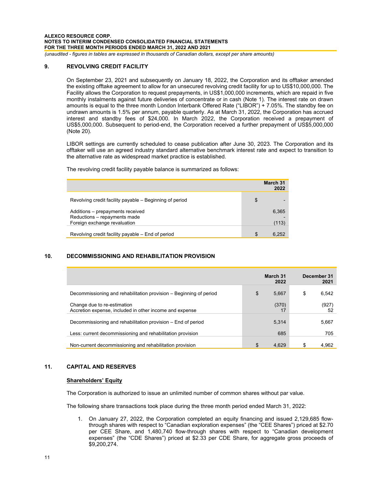## **9. REVOLVING CREDIT FACILITY**

On September 23, 2021 and subsequently on January 18, 2022, the Corporation and its offtaker amended the existing offtake agreement to allow for an unsecured revolving credit facility for up to US\$10,000,000. The Facility allows the Corporation to request prepayments, in US\$1,000,000 increments, which are repaid in five monthly instalments against future deliveries of concentrate or in cash (Note 1). The interest rate on drawn amounts is equal to the three month London Interbank Offered Rate ("LIBOR") + 7.05%. The standby fee on undrawn amounts is 1.5% per annum, payable quarterly. As at March 31, 2022, the Corporation has accrued interest and standby fees of \$24,000. In March 2022, the Corporation received a prepayment of US\$5,000,000. Subsequent to period-end, the Corporation received a further prepayment of US\$5,000,000 (Note 20).

LIBOR settings are currently scheduled to cease publication after June 30, 2023. The Corporation and its offtaker will use an agreed industry standard alternative benchmark interest rate and expect to transition to the alternative rate as widespread market practice is established.

The revolving credit facility payable balance is summarized as follows:

|                                                                                                  | March 31<br>2022 |
|--------------------------------------------------------------------------------------------------|------------------|
| Revolving credit facility payable – Beginning of period                                          | \$               |
| Additions - prepayments received<br>Reductions - repayments made<br>Foreign exchange revaluation | 6,365<br>(113)   |
| Revolving credit facility payable - End of period                                                | \$<br>6.252      |

# **10. DECOMMISSIONING AND REHABILITATION PROVISION**

|                                                                                        | March 31<br>2022 | December 31<br>2021 |
|----------------------------------------------------------------------------------------|------------------|---------------------|
| Decommissioning and rehabilitation provision – Beginning of period                     | \$<br>5,667      | \$<br>6,542         |
| Change due to re-estimation<br>Accretion expense, included in other income and expense | (370)<br>17      | (927)<br>52         |
| Decommissioning and rehabilitation provision – End of period                           | 5,314            | 5,667               |
| Less: current decommissioning and rehabilitation provision                             | 685              | 705                 |
| Non-current decommissioning and rehabilitation provision                               | 4.629            | \$<br>4,962         |

# **11. CAPITAL AND RESERVES**

## **Shareholders' Equity**

The Corporation is authorized to issue an unlimited number of common shares without par value.

The following share transactions took place during the three month period ended March 31, 2022:

1. On January 27, 2022, the Corporation completed an equity financing and issued 2,129,685 flowthrough shares with respect to "Canadian exploration expenses" (the "CEE Shares") priced at \$2.70 per CEE Share, and 1,480,740 flow-through shares with respect to "Canadian development expenses" (the "CDE Shares") priced at \$2.33 per CDE Share, for aggregate gross proceeds of \$9,200,274.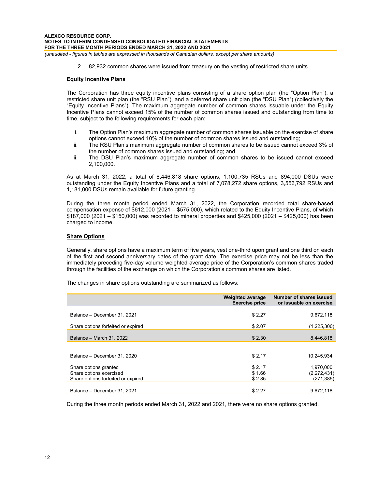2. 82,932 common shares were issued from treasury on the vesting of restricted share units.

## **Equity Incentive Plans**

The Corporation has three equity incentive plans consisting of a share option plan (the "Option Plan"), a restricted share unit plan (the "RSU Plan"), and a deferred share unit plan (the "DSU Plan") (collectively the "Equity Incentive Plans"). The maximum aggregate number of common shares issuable under the Equity Incentive Plans cannot exceed 15% of the number of common shares issued and outstanding from time to time, subject to the following requirements for each plan:

- i. The Option Plan's maximum aggregate number of common shares issuable on the exercise of share options cannot exceed 10% of the number of common shares issued and outstanding;
- ii. The RSU Plan's maximum aggregate number of common shares to be issued cannot exceed 3% of the number of common shares issued and outstanding; and
- iii. The DSU Plan's maximum aggregate number of common shares to be issued cannot exceed 2,100,000.

As at March 31, 2022, a total of 8,446,818 share options, 1,100,735 RSUs and 894,000 DSUs were outstanding under the Equity Incentive Plans and a total of 7,078,272 share options, 3,556,792 RSUs and 1,181,000 DSUs remain available for future granting.

During the three month period ended March 31, 2022, the Corporation recorded total share-based compensation expense of \$612,000 (2021 – \$575,000), which related to the Equity Incentive Plans, of which \$187,000 (2021 – \$150,000) was recorded to mineral properties and \$425,000 (2021 – \$425,000) has been charged to income.

# **Share Options**

Generally, share options have a maximum term of five years, vest one-third upon grant and one third on each of the first and second anniversary dates of the grant date. The exercise price may not be less than the immediately preceding five-day volume weighted average price of the Corporation's common shares traded through the facilities of the exchange on which the Corporation's common shares are listed.

The changes in share options outstanding are summarized as follows:

|                                                  | <b>Weighted average</b><br><b>Exercise price</b> | Number of shares issued<br>or issuable on exercise |
|--------------------------------------------------|--------------------------------------------------|----------------------------------------------------|
| Balance - December 31, 2021                      | \$2.27                                           | 9,672,118                                          |
| Share options forfeited or expired               | \$2.07                                           | (1,225,300)                                        |
| Balance - March 31, 2022                         | \$2.30                                           | 8,446,818                                          |
|                                                  |                                                  |                                                    |
| Balance - December 31, 2020                      | \$2.17                                           | 10.245.934                                         |
| Share options granted<br>Share options exercised | \$2.17<br>\$1.66                                 | 1,970,000<br>(2,272,431)                           |
| Share options forfeited or expired               | \$2.85                                           | (271, 385)                                         |
| Balance – December 31, 2021                      | \$2.27                                           | 9.672.118                                          |

During the three month periods ended March 31, 2022 and 2021, there were no share options granted.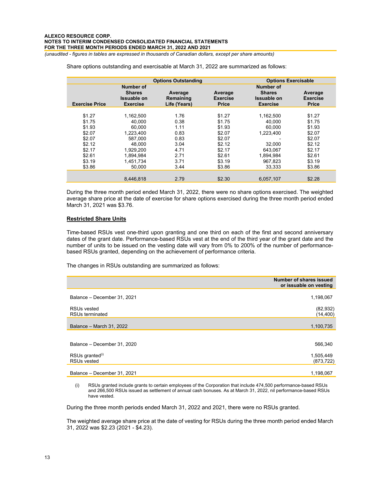|                       |                                                 | <b>Options Outstanding</b><br><b>Options Exercisable</b> |                                            |                                                        |                                            |  |
|-----------------------|-------------------------------------------------|----------------------------------------------------------|--------------------------------------------|--------------------------------------------------------|--------------------------------------------|--|
|                       | Number of                                       |                                                          |                                            | Number of                                              |                                            |  |
| <b>Exercise Price</b> | <b>Shares</b><br>Issuable on<br><b>Exercise</b> | Average<br>Remaining<br>Life (Years)                     | Average<br><b>Exercise</b><br><b>Price</b> | <b>Shares</b><br><b>Issuable on</b><br><b>Exercise</b> | Average<br><b>Exercise</b><br><b>Price</b> |  |
|                       |                                                 |                                                          |                                            |                                                        |                                            |  |
| \$1.27                | 1.162.500                                       | 1.76                                                     | \$1.27                                     | 1,162,500                                              | \$1.27                                     |  |
| \$1.75                | 40.000                                          | 0.38                                                     | \$1.75                                     | 40.000                                                 | \$1.75                                     |  |
| \$1.93                | 60.000                                          | 1.11                                                     | \$1.93                                     | 60.000                                                 | \$1.93                                     |  |
| \$2.07                | 1,223,400                                       | 0.83                                                     | \$2.07                                     | 1.223.400                                              | \$2.07                                     |  |
| \$2.07                | 587.000                                         | 0.83                                                     | \$2.07                                     |                                                        | \$2.07                                     |  |
| \$2.12                | 48.000                                          | 3.04                                                     | \$2.12                                     | 32.000                                                 | \$2.12                                     |  |
| \$2.17                | 1.929.200                                       | 4.71                                                     | \$2.17                                     | 643.067                                                | \$2.17                                     |  |
| \$2.61                | 1.894.984                                       | 2.71                                                     | \$2.61                                     | 1.894.984                                              | \$2.61                                     |  |
| \$3.19                | 1.451.734                                       | 3.71                                                     | \$3.19                                     | 967.823                                                | \$3.19                                     |  |
| \$3.86                | 50.000                                          | 3.44                                                     | \$3.86                                     | 33.333                                                 | \$3.86                                     |  |
|                       |                                                 |                                                          |                                            |                                                        |                                            |  |
|                       | 8.446.818                                       | 2.79                                                     | \$2.30                                     | 6,057,107                                              | \$2.28                                     |  |

Share options outstanding and exercisable at March 31, 2022 are summarized as follows:

During the three month period ended March 31, 2022, there were no share options exercised. The weighted average share price at the date of exercise for share options exercised during the three month period ended March 31, 2021 was \$3.76.

## **Restricted Share Units**

Time-based RSUs vest one-third upon granting and one third on each of the first and second anniversary dates of the grant date. Performance-based RSUs vest at the end of the third year of the grant date and the number of units to be issued on the vesting date will vary from 0% to 200% of the number of performancebased RSUs granted, depending on the achievement of performance criteria.

The changes in RSUs outstanding are summarized as follows:

|                                                   | Number of shares issued<br>or issuable on vesting |
|---------------------------------------------------|---------------------------------------------------|
| Balance - December 31, 2021                       | 1,198,067                                         |
| RSUs vested<br>RSUs terminated                    | (82, 932)<br>(14, 400)                            |
| Balance - March 31, 2022                          | 1,100,735                                         |
|                                                   |                                                   |
| Balance - December 31, 2020                       | 566,340                                           |
| RSUs granted <sup>(i)</sup><br><b>RSUs vested</b> | 1,505,449<br>(873, 722)                           |
| Balance - December 31, 2021                       | 1,198,067                                         |

(i) RSUs granted include grants to certain employees of the Corporation that include 474,500 performance-based RSUs and 266,500 RSUs issued as settlement of annual cash bonuses. As at March 31, 2022, nil performance-based RSUs have vested.

During the three month periods ended March 31, 2022 and 2021, there were no RSUs granted.

The weighted average share price at the date of vesting for RSUs during the three month period ended March 31, 2022 was \$2.23 (2021 - \$4.23).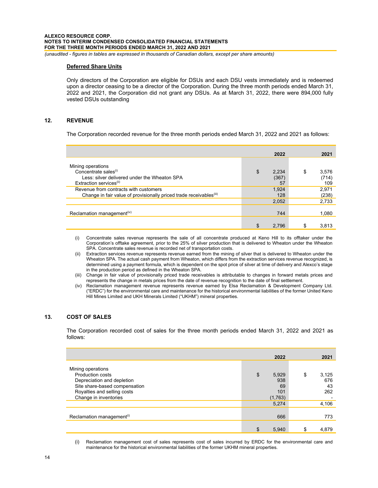## **Deferred Share Units**

Only directors of the Corporation are eligible for DSUs and each DSU vests immediately and is redeemed upon a director ceasing to be a director of the Corporation. During the three month periods ended March 31, 2022 and 2021, the Corporation did not grant any DSUs. As at March 31, 2022, there were 894,000 fully vested DSUs outstanding

## **12. REVENUE**

The Corporation recorded revenue for the three month periods ended March 31, 2022 and 2021 as follows:

|                                                                                                                                              | 2022                       | 2021                        |
|----------------------------------------------------------------------------------------------------------------------------------------------|----------------------------|-----------------------------|
| Mining operations<br>Concentrate sales <sup>(i)</sup><br>Less: silver delivered under the Wheaton SPA<br>Extraction services <sup>(ii)</sup> | \$<br>2,234<br>(367)<br>57 | \$<br>3,576<br>(714)<br>109 |
| Revenue from contracts with customers<br>Change in fair value of provisionally priced trade receivables <sup>(iii)</sup>                     | 1.924<br>128               | 2,971<br>(238)              |
|                                                                                                                                              | 2,052                      | 2,733                       |
| Reclamation management <sup>(iv)</sup>                                                                                                       | 744                        | 1,080                       |
|                                                                                                                                              | 2.796                      | \$<br>3,813                 |

(i) Concentrate sales revenue represents the sale of all concentrate produced at Keno Hill to its offtaker under the Corporation's offtake agreement, prior to the 25% of silver production that is delivered to Wheaton under the Wheaton SPA. Concentrate sales revenue is recorded net of transportation costs.

(ii) Extraction services revenue represents revenue earned from the mining of silver that is delivered to Wheaton under the Wheaton SPA. The actual cash payment from Wheaton, which differs from the extraction services revenue recognized, is determined using a payment formula, which is dependent on the spot price of silver at time of delivery and Alexco's stage in the production period as defined in the Wheaton SPA.

(iii) Change in fair value of provisionally priced trade receivables is attributable to changes in forward metals prices and represents the change in metals prices from the date of revenue recognition to the date of final settlement.

(iv) Reclamation management revenue represents revenue earned by Elsa Reclamation & Development Company Ltd. ("ERDC") for the environmental care and maintenance for the historical environmental liabilities of the former United Keno Hill Mines Limited and UKH Minerals Limited ("UKHM") mineral properties.

# **13. COST OF SALES**

The Corporation recorded cost of sales for the three month periods ended March 31, 2022 and 2021 as follows:

|                                                                                                                     | 2022                        | 2021             |
|---------------------------------------------------------------------------------------------------------------------|-----------------------------|------------------|
| Mining operations<br>Production costs                                                                               | \$<br>5,929                 | \$<br>3,125      |
| Depreciation and depletion<br>Site share-based compensation<br>Royalties and selling costs<br>Change in inventories | 938<br>69<br>101<br>(1,763) | 676<br>43<br>262 |
|                                                                                                                     | 5,274                       | 4,106            |
| Reclamation management <sup>(i)</sup>                                                                               | 666                         | 773              |
|                                                                                                                     | 5,940                       | \$<br>4,879      |

(i) Reclamation management cost of sales represents cost of sales incurred by ERDC for the environmental care and maintenance for the historical environmental liabilities of the former UKHM mineral properties.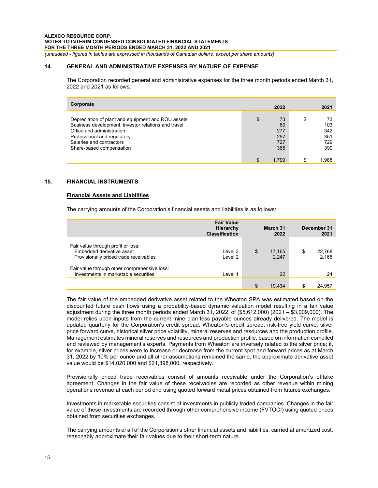# **14. GENERAL AND ADMINISTRATIVE EXPENSES BY NATURE OF EXPENSE**

The Corporation recorded general and administrative expenses for the three month periods ended March 31, 2022 and 2021 as follows:

| Corporate                                           | 2022        | 2021        |
|-----------------------------------------------------|-------------|-------------|
|                                                     |             |             |
| Depreciation of plant and equipment and ROU assets  | \$<br>73    | \$<br>73    |
| Business development, investor relations and travel | 60          | 103         |
| Office and administration                           | 277         | 342         |
| Professional and regulatory                         | 297         | 351         |
| Salaries and contractors                            | 727         | 729         |
| Share-based compensation                            | 365         | 390         |
|                                                     |             |             |
|                                                     | \$<br>1.799 | \$<br>889.⊺ |

# **15. FINANCIAL INSTRUMENTS**

# **Financial Assets and Liabilities**

The carrying amounts of the Corporation's financial assets and liabilities is as follows:

|                                                                                                           | <b>Fair Value</b><br>Hierarchy<br><b>Classification</b> | March 31<br>2022      | December 31<br>2021   |
|-----------------------------------------------------------------------------------------------------------|---------------------------------------------------------|-----------------------|-----------------------|
| Fair value through profit or loss:<br>Embedded derivative asset<br>Provisionally priced trade receivables | Level 3<br>Level 2                                      | \$<br>17.165<br>2.247 | \$<br>22.768<br>2,165 |
| Fair value through other comprehensive loss:<br>Investments in marketable securities                      | Level 1                                                 | 22                    | 24                    |
|                                                                                                           |                                                         | \$<br>19.434          | \$<br>24.957          |

The fair value of the embedded derivative asset related to the Wheaton SPA was estimated based on the discounted future cash flows using a probability-based dynamic valuation model resulting in a fair value adjustment during the three month periods ended March 31, 2022, of (\$5,612,000) (2021 – \$3,009,000). The model relies upon inputs from the current mine plan less payable ounces already delivered. The model is updated quarterly for the Corporation's credit spread, Wheaton's credit spread, risk-free yield curve, silver price forward curve, historical silver price volatility, mineral reserves and resources and the production profile. Management estimates mineral reserves and resources and production profile, based on information compiled and reviewed by management's experts. Payments from Wheaton are inversely related to the silver price; if, for example, silver prices were to increase or decrease from the current spot and forward prices as at March 31, 2022 by 10% per ounce and all other assumptions remained the same, the approximate derivative asset value would be \$14,020,000 and \$21,398,000, respectively.

Provisionally priced trade receivables consist of amounts receivable under the Corporation's offtake agreement. Changes in the fair value of these receivables are recorded as other revenue within mining operations revenue at each period end using quoted forward metal prices obtained from futures exchanges.

Investments in marketable securities consist of investments in publicly traded companies. Changes in the fair value of these investments are recorded through other comprehensive income (FVTOCI) using quoted prices obtained from securities exchanges.

The carrying amounts of all of the Corporation's other financial assets and liabilities, carried at amortized cost, reasonably approximate their fair values due to their short-term nature.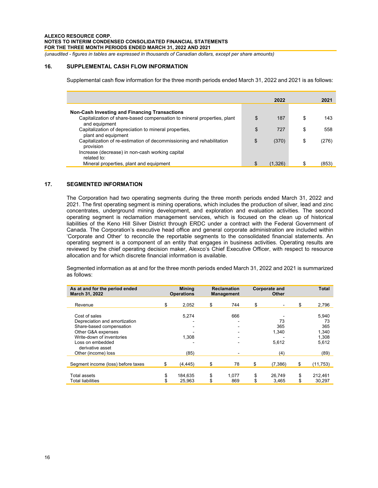# **16. SUPPLEMENTAL CASH FLOW INFORMATION**

Supplemental cash flow information for the three month periods ended March 31, 2022 and 2021 is as follows:

|                                                                                          | 2022          | 2021        |
|------------------------------------------------------------------------------------------|---------------|-------------|
|                                                                                          |               |             |
| <b>Non-Cash Investing and Financing Transactions</b>                                     |               |             |
| Capitalization of share-based compensation to mineral properties, plant<br>and equipment | \$<br>187     | \$<br>143   |
| Capitalization of depreciation to mineral properties,<br>plant and equipment             | \$<br>727     | \$<br>558   |
| Capitalization of re-estimation of decommissioning and rehabilitation<br>provision       | \$<br>(370)   | \$<br>(276) |
| Increase (decrease) in non-cash working capital<br>related to:                           |               |             |
| Mineral properties, plant and equipment                                                  | \$<br>(1.326) | \$<br>(853) |

# **17. SEGMENTED INFORMATION**

The Corporation had two operating segments during the three month periods ended March 31, 2022 and 2021. The first operating segment is mining operations, which includes the production of silver, lead and zinc concentrates, underground mining development, and exploration and evaluation activities. The second operating segment is reclamation management services, which is focused on the clean up of historical liabilities of the Keno Hill Silver District through ERDC under a contract with the Federal Government of Canada. The Corporation's executive head office and general corporate administration are included within 'Corporate and Other' to reconcile the reportable segments to the consolidated financial statements. An operating segment is a component of an entity that engages in business activities. Operating results are reviewed by the chief operating decision maker, Alexco's Chief Executive Officer, with respect to resource allocation and for which discrete financial information is available.

Segmented information as at and for the three month periods ended March 31, 2022 and 2021 is summarized as follows:

| As at and for the period ended<br>March 31, 2022                                                                                                                      | <b>Mining</b><br><b>Operations</b> |                   | <b>Reclamation</b><br><b>Management</b> |              | Corporate and<br><b>Other</b> |                             | <b>Total</b> |                                               |
|-----------------------------------------------------------------------------------------------------------------------------------------------------------------------|------------------------------------|-------------------|-----------------------------------------|--------------|-------------------------------|-----------------------------|--------------|-----------------------------------------------|
| Revenue                                                                                                                                                               | \$                                 | 2.052             | \$                                      | 744          | \$                            |                             | \$           | 2,796                                         |
| Cost of sales<br>Depreciation and amortization<br>Share-based compensation<br>Other G&A expenses<br>Write-down of inventories<br>Loss on embedded<br>derivative asset |                                    | 5,274<br>1.308    |                                         | 666          |                               | 73<br>365<br>1,340<br>5,612 |              | 5.940<br>73<br>365<br>1.340<br>1,308<br>5,612 |
| Other (income) loss                                                                                                                                                   |                                    | (85)              |                                         |              |                               | (4)                         |              | (89)                                          |
| Segment income (loss) before taxes                                                                                                                                    | \$                                 | (4, 445)          | \$                                      | 78           | \$                            | (7,386)                     | S            | (11,753)                                      |
| Total assets<br><b>Total liabilities</b>                                                                                                                              | \$                                 | 184.635<br>25.963 | \$<br>\$                                | 1.077<br>869 | \$<br>\$                      | 26.749<br>3.465             | \$           | 212.461<br>30.297                             |